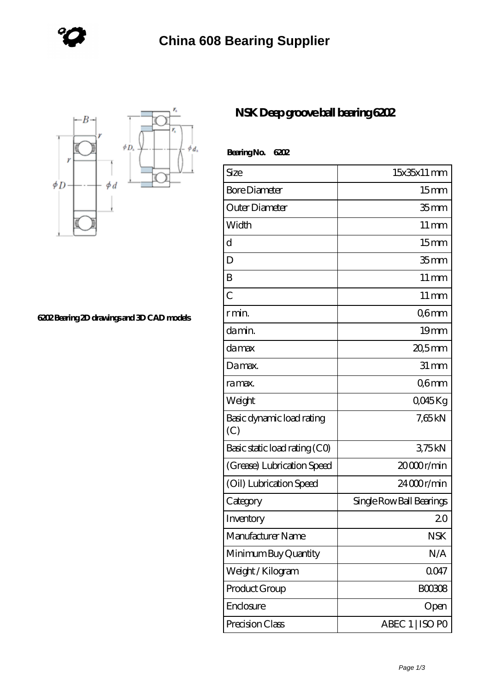

**[6202 Bearing 2D drawings and 3D CAD models](https://www.cheapeurostartickets.com/pic-828949.html)**

## **[NSK Deep groove ball bearing 6202](https://www.cheapeurostartickets.com/nsk-608d-bearing/nsk-deep-groove-ball-bearing-6202.html)**

| Bearing No.<br>6202              |                          |
|----------------------------------|--------------------------|
| Size                             | $15x35x11$ mm            |
| <b>Bore Diameter</b>             | 15 <sub>mm</sub>         |
| Outer Diameter                   | 35 <sub>mm</sub>         |
| Width                            | $11 \,\mathrm{mm}$       |
| d                                | 15 <sub>mm</sub>         |
| D                                | 35 <sub>mm</sub>         |
| B                                | $11 \,\mathrm{mm}$       |
| $\overline{C}$                   | $11 \,\mathrm{mm}$       |
| r min.                           | Q6mm                     |
| da min.                          | 19mm                     |
| damax                            | 20,5mm                   |
| Damax.                           | $31 \, \text{mm}$        |
| ra max.                          | Q6mm                     |
| Weight                           | QO45Kg                   |
| Basic dynamic load rating<br>(C) | 7,65kN                   |
| Basic static load rating (CO)    | 375kN                    |
| (Grease) Lubrication Speed       | 20000r/min               |
| (Oil) Lubrication Speed          | 24000r/min               |
| Category                         | Single Row Ball Bearings |
| Inventory                        | 20                       |
| Manufacturer Name                | <b>NSK</b>               |
| Minimum Buy Quantity             | N/A                      |
| Weight/Kilogram                  | 0047                     |
| Product Group                    | <b>BOO308</b>            |
| Enclosure                        | Open                     |
| Precision Class                  | ABEC 1   ISO PO          |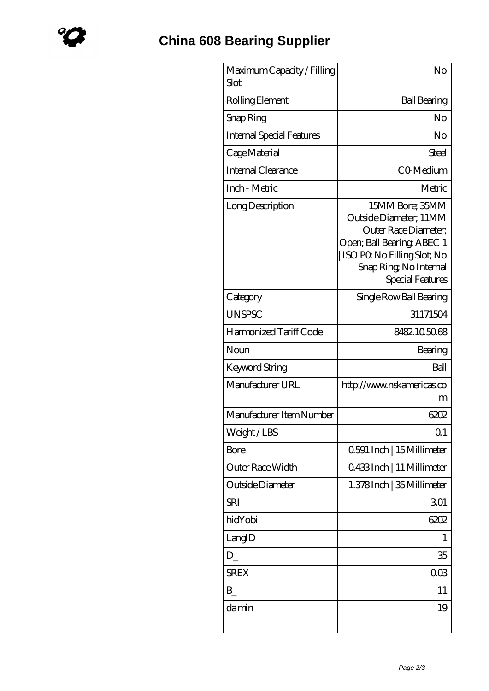| Maximum Capacity / Filling<br>Slot | No                                                                                                                                                                                  |
|------------------------------------|-------------------------------------------------------------------------------------------------------------------------------------------------------------------------------------|
| Rolling Element                    | <b>Ball Bearing</b>                                                                                                                                                                 |
| Snap Ring                          | No                                                                                                                                                                                  |
| <b>Internal Special Features</b>   | No                                                                                                                                                                                  |
| Cage Material                      | Steel                                                                                                                                                                               |
| Internal Clearance                 | CO-Medium                                                                                                                                                                           |
| Inch - Metric                      | Metric                                                                                                                                                                              |
| Long Description                   | 15MM Bore; 35MM<br>Outside Diameter; 11MM<br>Outer Race Diameter;<br>Open; Ball Bearing; ABEC 1<br>ISO PO, No Filling Slot; No<br>Snap Ring, No Internal<br><b>Special Features</b> |
| Category                           | Single Row Ball Bearing                                                                                                                                                             |
| <b>UNSPSC</b>                      | 31171504                                                                                                                                                                            |
| Harmonized Tariff Code             | 8482105068                                                                                                                                                                          |
| Noun                               | Bearing                                                                                                                                                                             |
| Keyword String                     | Ball                                                                                                                                                                                |
| Manufacturer URL                   | http://www.nskamericas.co<br>m                                                                                                                                                      |
| Manufacturer Item Number           | 6202                                                                                                                                                                                |
| Weight/LBS                         | Q1                                                                                                                                                                                  |
| Bore                               | 0591 Inch   15 Millimeter                                                                                                                                                           |
| Outer Race Width                   | 0433Inch   11 Millimeter                                                                                                                                                            |
| Outside Diameter                   | 1.378Inch   35 Millimeter                                                                                                                                                           |
| SRI                                | 301                                                                                                                                                                                 |
| hidYobi                            | 6202                                                                                                                                                                                |
| LangID                             | 1                                                                                                                                                                                   |
| D                                  | 35                                                                                                                                                                                  |
| <b>SREX</b>                        | 003                                                                                                                                                                                 |
| B                                  | 11                                                                                                                                                                                  |
| damin                              | 19                                                                                                                                                                                  |
|                                    |                                                                                                                                                                                     |